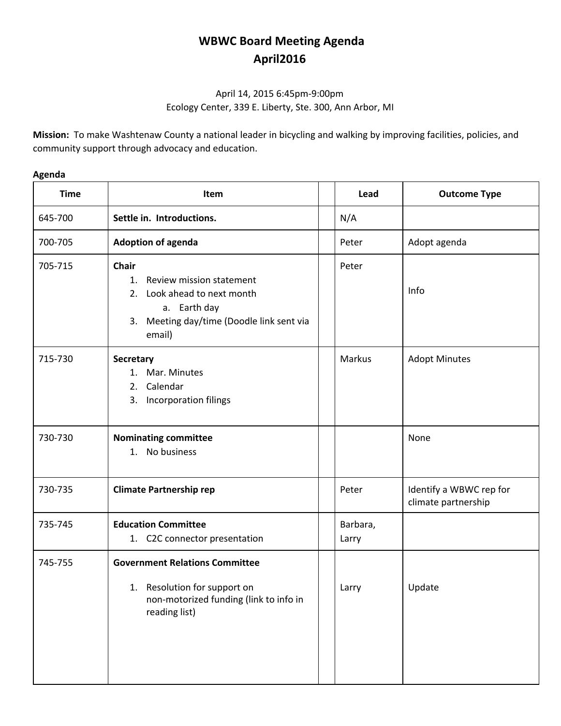## **WBWC Board Meeting Agenda April2016**

## April 14, 2015 6:45pm-9:00pm Ecology Center, 339 E. Liberty, Ste. 300, Ann Arbor, MI

**Mission:** To make Washtenaw County a national leader in bicycling and walking by improving facilities, policies, and community support through advocacy and education.

## **Agenda**

| <b>Time</b> | Item                                                                                                                                                 | Lead              | <b>Outcome Type</b>                            |
|-------------|------------------------------------------------------------------------------------------------------------------------------------------------------|-------------------|------------------------------------------------|
| 645-700     | Settle in. Introductions.                                                                                                                            | N/A               |                                                |
| 700-705     | <b>Adoption of agenda</b>                                                                                                                            | Peter             | Adopt agenda                                   |
| 705-715     | <b>Chair</b><br>Review mission statement<br>1.<br>2. Look ahead to next month<br>a. Earth day<br>3. Meeting day/time (Doodle link sent via<br>email) | Peter             | Info                                           |
| 715-730     | Secretary<br>1. Mar. Minutes<br>Calendar<br>2.<br>Incorporation filings<br>3.                                                                        | Markus            | <b>Adopt Minutes</b>                           |
| 730-730     | <b>Nominating committee</b><br>1. No business                                                                                                        |                   | None                                           |
| 730-735     | <b>Climate Partnership rep</b>                                                                                                                       | Peter             | Identify a WBWC rep for<br>climate partnership |
| 735-745     | <b>Education Committee</b><br>1. C2C connector presentation                                                                                          | Barbara,<br>Larry |                                                |
| 745-755     | <b>Government Relations Committee</b><br>1. Resolution for support on<br>non-motorized funding (link to info in<br>reading list)                     | Larry             | Update                                         |